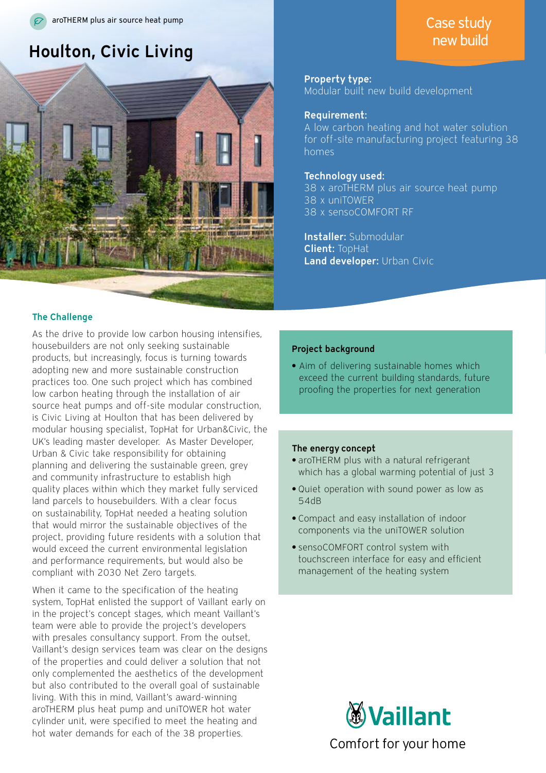## **Houlton, Civic Living the Contract of Contract Contract of Contract Contract Contract Oriental Contract Orient**



#### The Challenge

As the drive to provide low carbon housing intensifies, housebuilders are not only seeking sustainable products, but increasingly, focus is turning towards adopting new and more sustainable construction practices too. One such project which has combined low carbon heating through the installation of air source heat pumps and off-site modular construction, is Civic Living at Houlton that has been delivered by modular housing specialist, TopHat for Urban&Civic, the UK's leading master developer. As Master Developer, Urban & Civic take responsibility for obtaining planning and delivering the sustainable green, grey and community infrastructure to establish high quality places within which they market fully serviced land parcels to housebuilders. With a clear focus on sustainability, TopHat needed a heating solution that would mirror the sustainable objectives of the project, providing future residents with a solution that would exceed the current environmental legislation and performance requirements, but would also be compliant with 2030 Net Zero targets.

When it came to the specification of the heating system, TopHat enlisted the support of Vaillant early on in the project's concept stages, which meant Vaillant's team were able to provide the project's developers with presales consultancy support. From the outset, Vaillant's design services team was clear on the designs of the properties and could deliver a solution that not only complemented the aesthetics of the development but also contributed to the overall goal of sustainable living. With this in mind, Vaillant's award-winning aroTHERM plus heat pump and uniTOWER hot water cylinder unit, were specified to meet the heating and hot water demands for each of the 38 properties.

## Property type:

Modular built new build development

### Requirement:

A low carbon heating and hot water solution for off-site manufacturing project featuring 38 homes

#### Technology used:

38 x aroTHERM plus air source heat pump 38 x uniTOWER 38 x sensoCOMFORT RF

Installer: Submodular Client: TopHat Land developer: Urban Civic

#### Project background

**•** Aim of delivering sustainable homes which exceed the current building standards, future proofing the properties for next generation

#### The energy concept

- **•** aroTHERM plus with a natural refrigerant which has a global warming potential of just 3
- **•** Quiet operation with sound power as low as 54dB
- **•** Compact and easy installation of indoor components via the uniTOWER solution
- **•** sensoCOMFORT control system with touchscreen interface for easy and efficient management of the heating system



# Case study